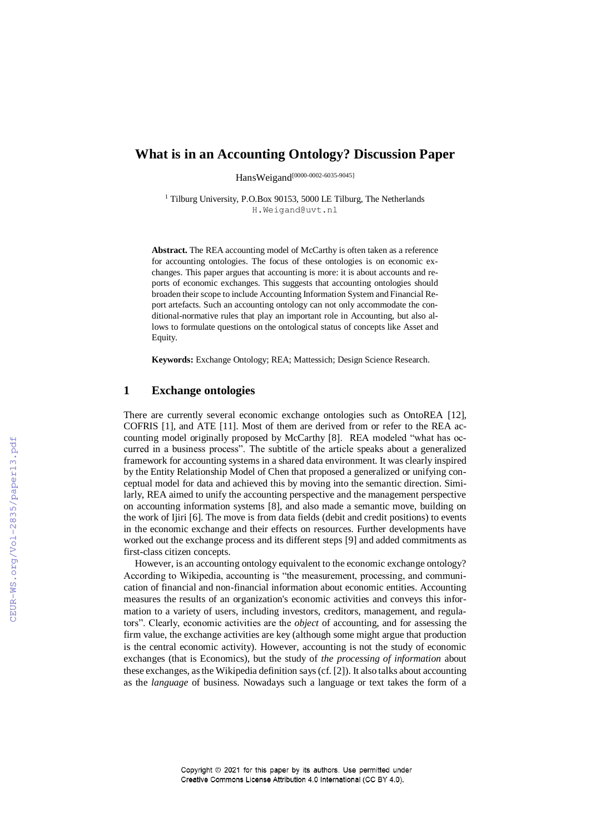# **What is in an Accounting Ontology? Discussion Paper**

HansWeigand[0000-0002-6035-9045]

<sup>1</sup> Tilburg University, P.O.Box 90153, 5000 LE Tilburg, The Netherlands H.Weigand@uvt.nl

**Abstract.** The REA accounting model of McCarthy is often taken as a reference for accounting ontologies. The focus of these ontologies is on economic exchanges. This paper argues that accounting is more: it is about accounts and reports of economic exchanges. This suggests that accounting ontologies should broaden their scope to include Accounting Information System and Financial Report artefacts. Such an accounting ontology can not only accommodate the conditional-normative rules that play an important role in Accounting, but also allows to formulate questions on the ontological status of concepts like Asset and Equity.

**Keywords:** Exchange Ontology; REA; Mattessich; Design Science Research.

## **1 Exchange ontologies**

There are currently several economic exchange ontologies such as OntoREA [12], COFRIS [1], and ATE [11]. Most of them are derived from or refer to the REA accounting model originally proposed by McCarthy [8]. REA modeled "what has occurred in a business process". The subtitle of the article speaks about a generalized framework for accounting systems in a shared data environment. It was clearly inspired by the Entity Relationship Model of Chen that proposed a generalized or unifying conceptual model for data and achieved this by moving into the semantic direction. Similarly, REA aimed to unify the accounting perspective and the management perspective on accounting information systems [8], and also made a semantic move, building on the work of Ijiri [6]. The move is from data fields (debit and credit positions) to events in the economic exchange and their effects on resources. Further developments have worked out the exchange process and its different steps [9] and added commitments as first-class citizen concepts.

However, is an accounting ontology equivalent to the economic exchange ontology? According to Wikipedia, accounting is "the measurement, processing, and communication of financial and non-financial information about economic entities. Accounting measures the results of an organization's economic activities and conveys this information to a variety of users, including investors, creditors, management, and regulators". Clearly, economic activities are the *object* of accounting, and for assessing the firm value, the exchange activities are key (although some might argue that production is the central economic activity). However, accounting is not the study of economic exchanges (that is Economics), but the study of *the processing of information* about these exchanges, as the Wikipedia definition says(cf. [2]). It also talks about accounting as the *language* of business. Nowadays such a language or text takes the form of a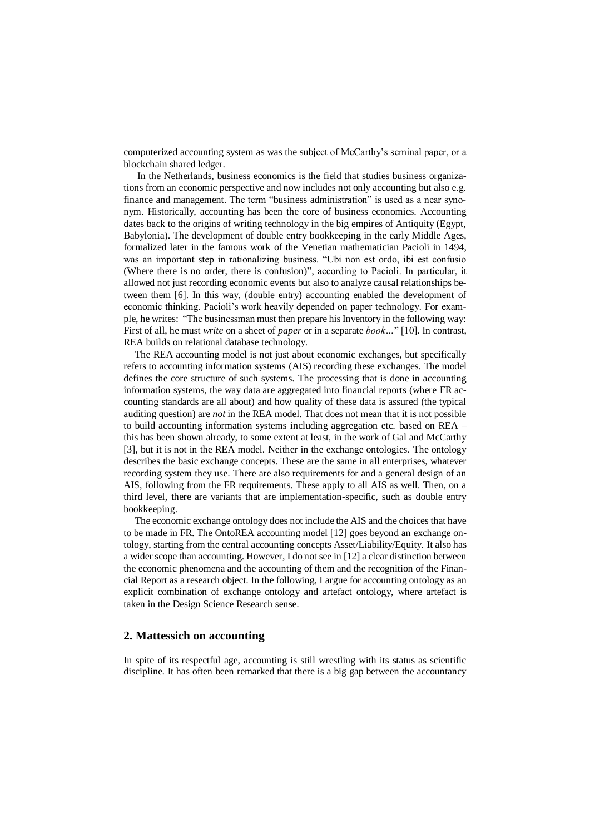computerized accounting system as was the subject of McCarthy's seminal paper, or a blockchain shared ledger.

In the Netherlands, business economics is the field that studies business organizations from an economic perspective and now includes not only accounting but also e.g. finance and management. The term "business administration" is used as a near synonym. Historically, accounting has been the core of business economics. Accounting dates back to the origins of writing technology in the big empires of Antiquity (Egypt, Babylonia). The development of double entry bookkeeping in the early Middle Ages, formalized later in the famous work of the Venetian mathematician Pacioli in 1494, was an important step in rationalizing business. "Ubi non est ordo, ibi est confusio (Where there is no order, there is confusion)", according to Pacioli. In particular, it allowed not just recording economic events but also to analyze causal relationships between them [6]. In this way, (double entry) accounting enabled the development of economic thinking. Pacioli's work heavily depended on paper technology. For example, he writes: "The businessman must then prepare his Inventory in the following way: First of all, he must *write* on a sheet of *paper* or in a separate *book…*" [10]. In contrast, REA builds on relational database technology.

The REA accounting model is not just about economic exchanges, but specifically refers to accounting information systems (AIS) recording these exchanges. The model defines the core structure of such systems. The processing that is done in accounting information systems, the way data are aggregated into financial reports (where FR accounting standards are all about) and how quality of these data is assured (the typical auditing question) are *not* in the REA model. That does not mean that it is not possible to build accounting information systems including aggregation etc. based on REA – this has been shown already, to some extent at least, in the work of Gal and McCarthy [3], but it is not in the REA model. Neither in the exchange ontologies. The ontology describes the basic exchange concepts. These are the same in all enterprises, whatever recording system they use. There are also requirements for and a general design of an AIS, following from the FR requirements. These apply to all AIS as well. Then, on a third level, there are variants that are implementation-specific, such as double entry bookkeeping.

The economic exchange ontology does not include the AIS and the choices that have to be made in FR. The OntoREA accounting model [12] goes beyond an exchange ontology, starting from the central accounting concepts Asset/Liability/Equity. It also has a wider scope than accounting. However, I do not see in [12] a clear distinction between the economic phenomena and the accounting of them and the recognition of the Financial Report as a research object. In the following, I argue for accounting ontology as an explicit combination of exchange ontology and artefact ontology, where artefact is taken in the Design Science Research sense.

#### **2. Mattessich on accounting**

In spite of its respectful age, accounting is still wrestling with its status as scientific discipline. It has often been remarked that there is a big gap between the accountancy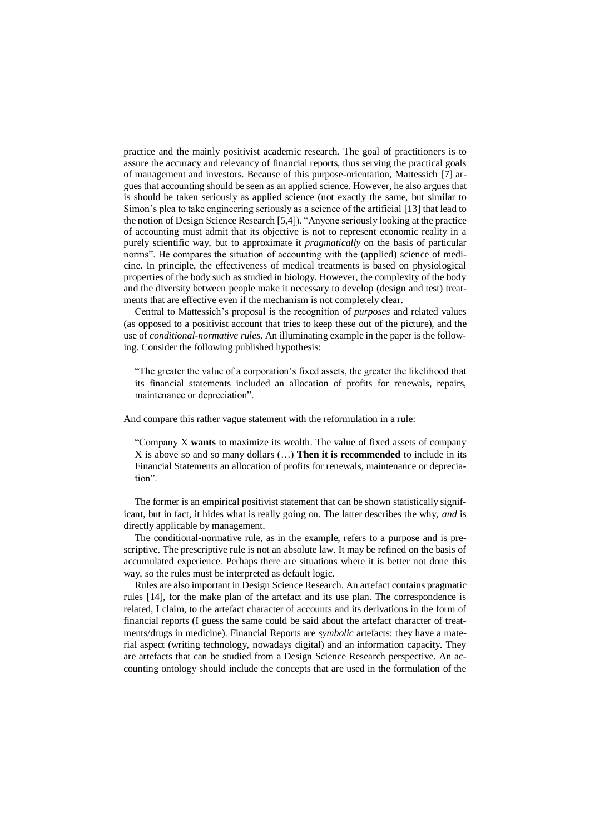practice and the mainly positivist academic research. The goal of practitioners is to assure the accuracy and relevancy of financial reports, thus serving the practical goals of management and investors. Because of this purpose-orientation, Mattessich [7] argues that accounting should be seen as an applied science. However, he also argues that is should be taken seriously as applied science (not exactly the same, but similar to Simon's plea to take engineering seriously as a science of the artificial [13] that lead to the notion of Design Science Research [5,4]). "Anyone seriously looking at the practice of accounting must admit that its objective is not to represent economic reality in a purely scientific way, but to approximate it *pragmatically* on the basis of particular norms". He compares the situation of accounting with the (applied) science of medicine. In principle, the effectiveness of medical treatments is based on physiological properties of the body such as studied in biology. However, the complexity of the body and the diversity between people make it necessary to develop (design and test) treatments that are effective even if the mechanism is not completely clear.

Central to Mattessich's proposal is the recognition of *purposes* and related values (as opposed to a positivist account that tries to keep these out of the picture), and the use of *conditional-normative rules*. An illuminating example in the paper is the following. Consider the following published hypothesis:

"The greater the value of a corporation's fixed assets, the greater the likelihood that its financial statements included an allocation of profits for renewals, repairs, maintenance or depreciation".

And compare this rather vague statement with the reformulation in a rule:

"Company X **wants** to maximize its wealth. The value of fixed assets of company X is above so and so many dollars (…) **Then it is recommended** to include in its Financial Statements an allocation of profits for renewals, maintenance or depreciation".

The former is an empirical positivist statement that can be shown statistically significant, but in fact, it hides what is really going on. The latter describes the why, *and* is directly applicable by management.

The conditional-normative rule, as in the example, refers to a purpose and is prescriptive. The prescriptive rule is not an absolute law. It may be refined on the basis of accumulated experience. Perhaps there are situations where it is better not done this way, so the rules must be interpreted as default logic.

Rules are also important in Design Science Research. An artefact contains pragmatic rules [14], for the make plan of the artefact and its use plan. The correspondence is related, I claim, to the artefact character of accounts and its derivations in the form of financial reports (I guess the same could be said about the artefact character of treatments/drugs in medicine). Financial Reports are *symbolic* artefacts: they have a material aspect (writing technology, nowadays digital) and an information capacity. They are artefacts that can be studied from a Design Science Research perspective. An accounting ontology should include the concepts that are used in the formulation of the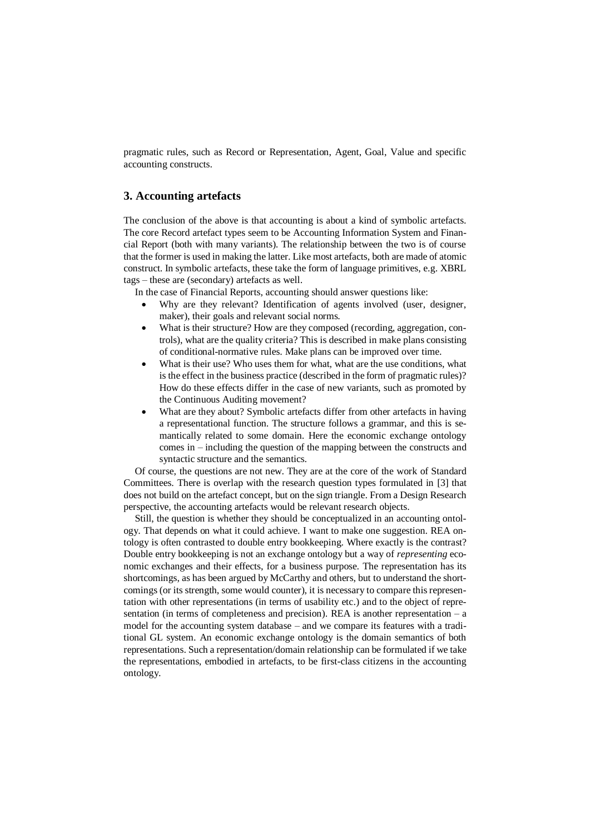pragmatic rules, such as Record or Representation, Agent, Goal, Value and specific accounting constructs.

## **3. Accounting artefacts**

The conclusion of the above is that accounting is about a kind of symbolic artefacts. The core Record artefact types seem to be Accounting Information System and Financial Report (both with many variants). The relationship between the two is of course that the former is used in making the latter. Like most artefacts, both are made of atomic construct. In symbolic artefacts, these take the form of language primitives, e.g. XBRL tags – these are (secondary) artefacts as well.

In the case of Financial Reports, accounting should answer questions like:

- Why are they relevant? Identification of agents involved (user, designer, maker), their goals and relevant social norms.
- What is their structure? How are they composed (recording, aggregation, controls), what are the quality criteria? This is described in make plans consisting of conditional-normative rules. Make plans can be improved over time.
- What is their use? Who uses them for what, what are the use conditions, what is the effect in the business practice (described in the form of pragmatic rules)? How do these effects differ in the case of new variants, such as promoted by the Continuous Auditing movement?
- What are they about? Symbolic artefacts differ from other artefacts in having a representational function. The structure follows a grammar, and this is semantically related to some domain. Here the economic exchange ontology comes in – including the question of the mapping between the constructs and syntactic structure and the semantics.

Of course, the questions are not new. They are at the core of the work of Standard Committees. There is overlap with the research question types formulated in [3] that does not build on the artefact concept, but on the sign triangle. From a Design Research perspective, the accounting artefacts would be relevant research objects.

Still, the question is whether they should be conceptualized in an accounting ontology. That depends on what it could achieve. I want to make one suggestion. REA ontology is often contrasted to double entry bookkeeping. Where exactly is the contrast? Double entry bookkeeping is not an exchange ontology but a way of *representing* economic exchanges and their effects, for a business purpose. The representation has its shortcomings, as has been argued by McCarthy and others, but to understand the shortcomings (or its strength, some would counter), it is necessary to compare this representation with other representations (in terms of usability etc.) and to the object of representation (in terms of completeness and precision). REA is another representation – a model for the accounting system database – and we compare its features with a traditional GL system. An economic exchange ontology is the domain semantics of both representations. Such a representation/domain relationship can be formulated if we take the representations, embodied in artefacts, to be first-class citizens in the accounting ontology.